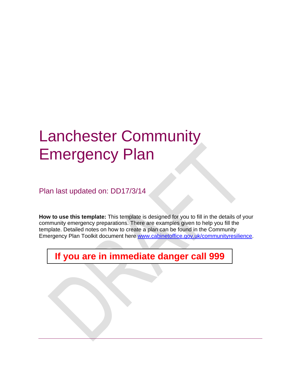# Lanchester Community Emergency Plan

Plan last updated on: DD17/3/14

**How to use this template:** This template is designed for you to fill in the details of your community emergency preparations. There are examples given to help you fill the template. Detailed notes on how to create a plan can be found in the Community Emergency Plan Toolkit document here www.cabinetoffice.gov.uk/communityresilience.

**If you are in immediate danger call 999**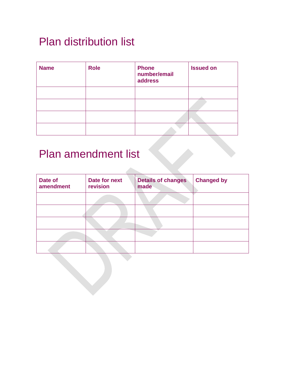#### Plan distribution list

| <b>Name</b> | <b>Role</b> | <b>Phone</b><br>number/email<br>address | <b>Issued on</b> |
|-------------|-------------|-----------------------------------------|------------------|
|             |             |                                         |                  |
|             |             |                                         |                  |
|             |             |                                         |                  |
|             |             |                                         |                  |

dia.

### Plan amendment list

| Date of<br>amendment | Date for next<br>revision | <b>Details of changes</b><br>made | <b>Changed by</b> |
|----------------------|---------------------------|-----------------------------------|-------------------|
|                      |                           |                                   |                   |
|                      |                           |                                   |                   |
|                      |                           |                                   |                   |
|                      |                           |                                   |                   |
|                      |                           |                                   |                   |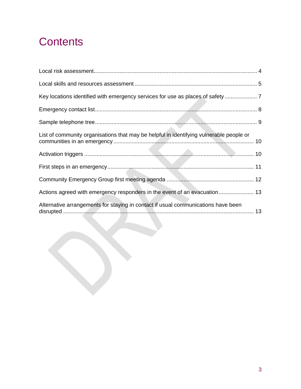#### **Contents**

| Key locations identified with emergency services for use as places of safety            |  |
|-----------------------------------------------------------------------------------------|--|
|                                                                                         |  |
|                                                                                         |  |
| List of community organisations that may be helpful in identifying vulnerable people or |  |
|                                                                                         |  |
|                                                                                         |  |
|                                                                                         |  |
| Actions agreed with emergency responders in the event of an evacuation 13               |  |
| Alternative arrangements for staying in contact if usual communications have been       |  |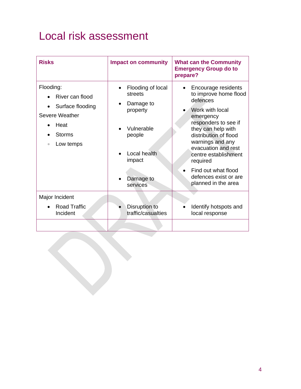#### Local risk assessment

| <b>Risks</b>                                                                                                          | <b>Impact on community</b>                                                                                                                    | <b>What can the Community</b><br><b>Emergency Group do to</b><br>prepare?                                                                                                                                                                                                                                             |
|-----------------------------------------------------------------------------------------------------------------------|-----------------------------------------------------------------------------------------------------------------------------------------------|-----------------------------------------------------------------------------------------------------------------------------------------------------------------------------------------------------------------------------------------------------------------------------------------------------------------------|
| Flooding:<br>River can flood<br>Surface flooding<br>Severe Weather<br>Heat<br><b>Storms</b><br>Low temps<br>$\bullet$ | Flooding of local<br>$\bullet$<br>streets<br>Damage to<br>property<br>Vulnerable<br>people<br>Local health<br>impact<br>Damage to<br>services | Encourage residents<br>to improve home flood<br>defences<br>Work with local<br>emergency<br>responders to see if<br>they can help with<br>distribution of flood<br>warnings and any<br>evacuation and rest<br>centre establishment<br>required<br>Find out what flood<br>defences exist or are<br>planned in the area |
| Major Incident<br><b>Road Traffic</b><br>Incident                                                                     | Disruption to<br>traffic/casualties                                                                                                           | Identify hotspots and<br>local response                                                                                                                                                                                                                                                                               |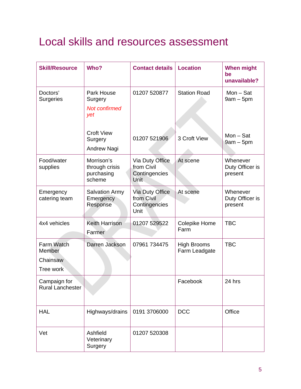#### Local skills and resources assessment

| <b>Skill/Resource</b>                         | Who?                                                 | <b>Contact details</b>                                        | <b>Location</b>                     | <b>When might</b><br>be<br>unavailable? |
|-----------------------------------------------|------------------------------------------------------|---------------------------------------------------------------|-------------------------------------|-----------------------------------------|
| Doctors'<br><b>Surgeries</b>                  | Park House<br>Surgery<br><b>Not confirmed</b><br>yet | 01207 520877                                                  | <b>Station Road</b>                 | $Mon - Sat$<br>$9am - 5pm$              |
|                                               | <b>Croft View</b><br>Surgery<br>Andrew Nagi          | 01207 521906                                                  | 3 Croft View                        | $Mon - Sat$<br>$9am - 5pm$              |
| Food/water<br>supplies                        | Morrison's<br>through crisis<br>purchasing<br>scheme | Via Duty Office<br>from Civil<br>Contingencies<br><b>Unit</b> | At scene                            | Whenever<br>Duty Officer is<br>present  |
| Emergency<br>catering team                    | <b>Salvation Army</b><br>Emergency<br>Response       | Via Duty Office<br>from Civil<br>Contingencies<br>Unit        | At scene                            | Whenever<br>Duty Officer is<br>present  |
| 4x4 vehicles                                  | <b>Keith Harrison</b><br>Farmer                      | 01207 529522                                                  | Colepike Home<br>Farm               | <b>TBC</b>                              |
| Farm Watch<br>Member<br>Chainsaw<br>Tree work | Darren Jackson                                       | 07961 734475                                                  | <b>High Brooms</b><br>Farm Leadgate | <b>TBC</b>                              |
| Campaign for<br><b>Rural Lanchester</b>       |                                                      |                                                               | Facebook                            | 24 hrs                                  |
| <b>HAL</b>                                    | Highways/drains                                      | 0191 3706000                                                  | <b>DCC</b>                          | Office                                  |
| Vet                                           | Ashfield<br>Veterinary<br>Surgery                    | 01207 520308                                                  |                                     |                                         |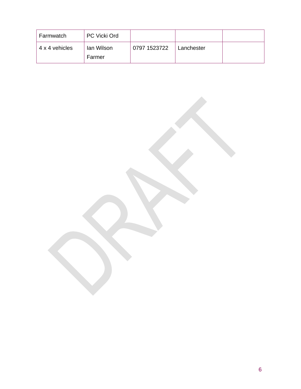| Farmwatch      | <b>PC Vicki Ord</b>  |              |            |  |
|----------------|----------------------|--------------|------------|--|
| 4 x 4 vehicles | lan Wilson<br>Farmer | 0797 1523722 | Lanchester |  |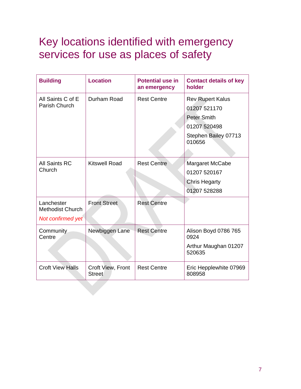#### Key locations identified with emergency services for use as places of safety

| <b>Building</b>                                            | <b>Location</b>                    | <b>Potential use in</b><br>an emergency | <b>Contact details of key</b><br>holder                                                                         |
|------------------------------------------------------------|------------------------------------|-----------------------------------------|-----------------------------------------------------------------------------------------------------------------|
| All Saints C of E<br>Parish Church                         | Durham Road                        | <b>Rest Centre</b>                      | <b>Rev Rupert Kalus</b><br>01207 521170<br><b>Peter Smith</b><br>01207 520498<br>Stephen Bailey 07713<br>010656 |
| <b>All Saints RC</b><br>Church                             | <b>Kitswell Road</b>               | <b>Rest Centre</b>                      | Margaret McCabe<br>01207 520167<br><b>Chris Hegarty</b><br>01207 528288                                         |
| Lanchester<br><b>Methodist Church</b><br>Not confirmed yet | <b>Front Street</b>                | <b>Rest Centre</b>                      |                                                                                                                 |
| Community<br>Centre                                        | Newbiggen Lane                     | <b>Rest Centre</b>                      | Alison Boyd 0786 765<br>0924<br>Arthur Maughan 01207<br>520635                                                  |
| <b>Croft View Halls</b>                                    | Croft View, Front<br><b>Street</b> | <b>Rest Centre</b>                      | Eric Hepplewhite 07969<br>808958                                                                                |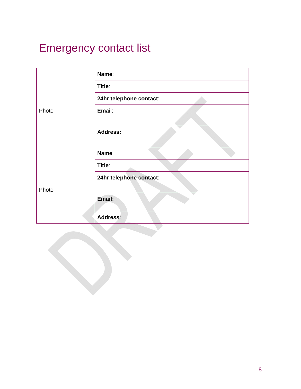## Emergency contact list

|       | Name:                   |
|-------|-------------------------|
|       | Title:                  |
|       | 24hr telephone contact: |
| Photo | Email:                  |
|       | <b>Address:</b>         |
|       | <b>Name</b>             |
|       | Title:                  |
|       | 24hr telephone contact: |
| Photo |                         |
|       | Email:                  |
|       | <b>Address:</b>         |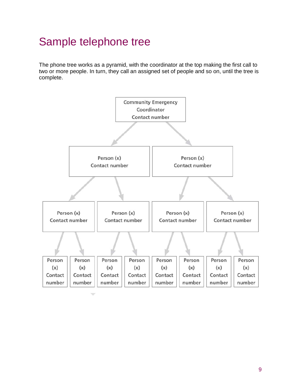#### Sample telephone tree

The phone tree works as a pyramid, with the coordinator at the top making the first call to two or more people. In turn, they call an assigned set of people and so on, until the tree is complete.

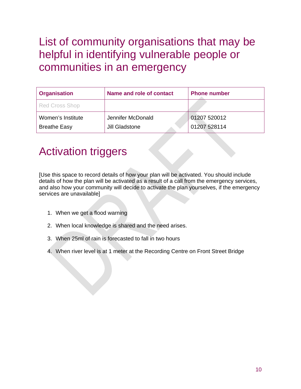#### List of community organisations that may be helpful in identifying vulnerable people or communities in an emergency

| <b>Organisation</b> | Name and role of contact | <b>Phone number</b> |
|---------------------|--------------------------|---------------------|
| Red Cross Shop      |                          |                     |
| Women's Institute   | Jennifer McDonald        | 01207 520012        |
| <b>Breathe Easy</b> | <b>Jill Gladstone</b>    | 01207 528114        |

#### Activation triggers

[Use this space to record details of how your plan will be activated. You should include details of how the plan will be activated as a result of a call from the emergency services, and also how your community will decide to activate the plan yourselves, if the emergency services are unavailable]

- 1. When we get a flood warning
- 2. When local knowledge is shared and the need arises.
- 3. When 25ml of rain is forecasted to fall in two hours
- 4. When river level is at 1 meter at the Recording Centre on Front Street Bridge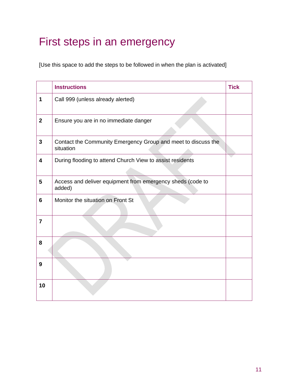#### First steps in an emergency

[Use this space to add the steps to be followed in when the plan is activated]

|                         | <b>Instructions</b>                                                        | <b>Tick</b> |
|-------------------------|----------------------------------------------------------------------------|-------------|
| 1                       | Call 999 (unless already alerted)                                          |             |
| $\mathbf{2}$            | Ensure you are in no immediate danger                                      |             |
| $\mathbf{3}$            | Contact the Community Emergency Group and meet to discuss the<br>situation |             |
| $\overline{\mathbf{4}}$ | During flooding to attend Church View to assist residents                  |             |
| $5\phantom{.0}$         | Access and deliver equipment from emergency sheds (code to<br>added)       |             |
| 6                       | Monitor the situation on Front St                                          |             |
| $\overline{7}$          |                                                                            |             |
| 8                       |                                                                            |             |
| 9                       |                                                                            |             |
| 10                      |                                                                            |             |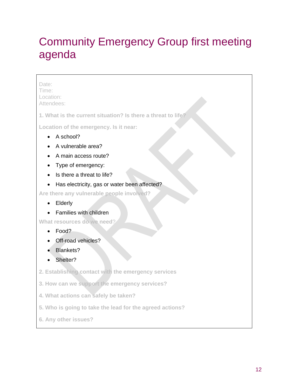#### Community Emergency Group first meeting agenda

#### Date: Time: Location: Attendees: **1. What is the current situation? Is there a threat to life? Location of the emergency. Is it near:**  • A school? • A vulnerable area? • A main access route? • Type of emergency: • Is there a threat to life? • Has electricity, gas or water been affected? **Are there any vulnerable people involved?**  • Elderly • Families with children **What resources do we need**? • Food? • Off-road vehicles? Blankets? Shelter? **2. Establishing contact with the emergency services 3. How can we support the emergency services? 4. What actions can safely be taken? 5. Who is going to take the lead for the agreed actions?**

**6. Any other issues?**